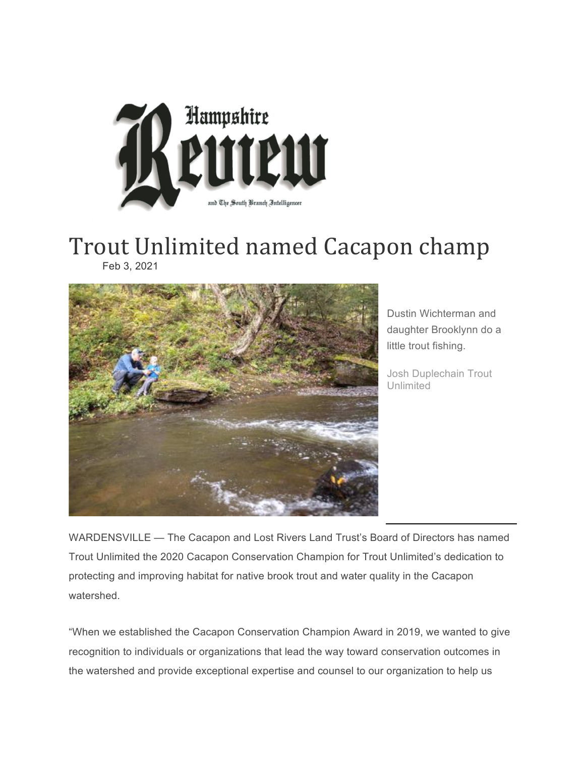

## Trout Unlimited named Cacapon champ Feb 3, 2021



Dustin Wichterman and daughter Brooklynn do a little trout fishing.

Josh Duplechain Trout Unlimited

WARDENSVILLE — The Cacapon and Lost Rivers Land Trust's Board of Directors has named Trout Unlimited the 2020 Cacapon Conservation Champion for Trout Unlimited's dedication to protecting and improving habitat for native brook trout and water quality in the Cacapon watershed.

"When we established the Cacapon Conservation Champion Award in 2019, we wanted to give recognition to individuals or organizations that lead the way toward conservation outcomes in the watershed and provide exceptional expertise and counsel to our organization to help us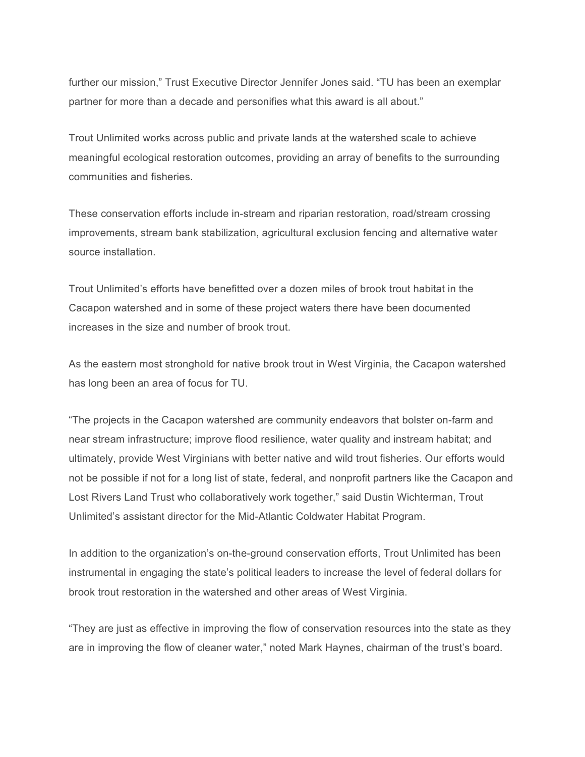further our mission," Trust Executive Director Jennifer Jones said. "TU has been an exemplar partner for more than a decade and personifies what this award is all about."

Trout Unlimited works across public and private lands at the watershed scale to achieve meaningful ecological restoration outcomes, providing an array of benefits to the surrounding communities and fisheries.

These conservation efforts include in-stream and riparian restoration, road/stream crossing improvements, stream bank stabilization, agricultural exclusion fencing and alternative water source installation.

Trout Unlimited's efforts have benefitted over a dozen miles of brook trout habitat in the Cacapon watershed and in some of these project waters there have been documented increases in the size and number of brook trout.

As the eastern most stronghold for native brook trout in West Virginia, the Cacapon watershed has long been an area of focus for TU.

"The projects in the Cacapon watershed are community endeavors that bolster on-farm and near stream infrastructure; improve flood resilience, water quality and instream habitat; and ultimately, provide West Virginians with better native and wild trout fisheries. Our efforts would not be possible if not for a long list of state, federal, and nonprofit partners like the Cacapon and Lost Rivers Land Trust who collaboratively work together," said Dustin Wichterman, Trout Unlimited's assistant director for the Mid-Atlantic Coldwater Habitat Program.

In addition to the organization's on-the-ground conservation efforts, Trout Unlimited has been instrumental in engaging the state's political leaders to increase the level of federal dollars for brook trout restoration in the watershed and other areas of West Virginia.

"They are just as effective in improving the flow of conservation resources into the state as they are in improving the flow of cleaner water," noted Mark Haynes, chairman of the trust's board.